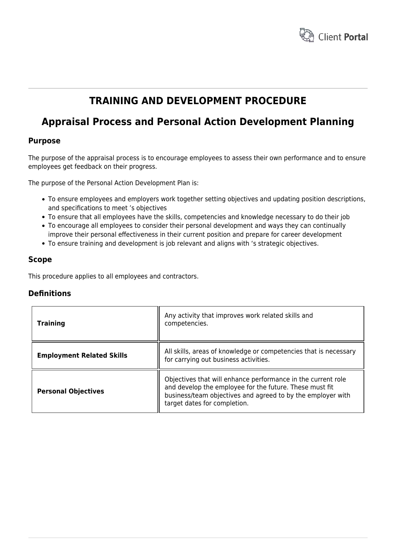

## **TRAINING AND DEVELOPMENT PROCEDURE**

# **Appraisal Process and Personal Action Development Planning**

## **Purpose**

The purpose of the appraisal process is to encourage employees to assess their own performance and to ensure employees get feedback on their progress.

The purpose of the Personal Action Development Plan is:

- To ensure employees and employers work together setting objectives and updating position descriptions, and specifications to meet 's objectives
- To ensure that all employees have the skills, competencies and knowledge necessary to do their job
- To encourage all employees to consider their personal development and ways they can continually improve their personal effectiveness in their current position and prepare for career development
- To ensure training and development is job relevant and aligns with 's strategic objectives.

### **Scope**

This procedure applies to all employees and contractors.

## **Definitions**

| Training                         | Any activity that improves work related skills and<br>competencies.                                                                                                                                                    |
|----------------------------------|------------------------------------------------------------------------------------------------------------------------------------------------------------------------------------------------------------------------|
| <b>Employment Related Skills</b> | All skills, areas of knowledge or competencies that is necessary<br>for carrying out business activities.                                                                                                              |
| <b>Personal Objectives</b>       | Objectives that will enhance performance in the current role<br>and develop the employee for the future. These must fit<br>business/team objectives and agreed to by the employer with<br>target dates for completion. |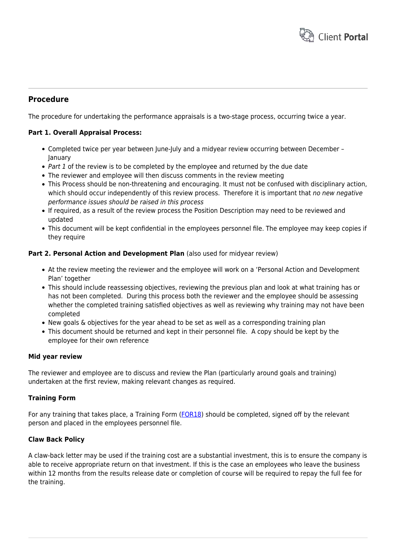

## **Procedure**

The procedure for undertaking the performance appraisals is a two-stage process, occurring twice a year.

#### **Part 1. Overall Appraisal Process:**

- Completed twice per year between June-July and a midyear review occurring between December -January
- Part 1 of the review is to be completed by the employee and returned by the due date
- The reviewer and employee will then discuss comments in the review meeting
- This Process should be non-threatening and encouraging. It must not be confused with disciplinary action, which should occur independently of this review process. Therefore it is important that no new negative performance issues should be raised in this process
- If required, as a result of the review process the Position Description may need to be reviewed and updated
- This document will be kept confidential in the employees personnel file. The employee may keep copies if they require

#### **Part 2. Personal Action and Development Plan** (also used for midyear review)

- At the review meeting the reviewer and the employee will work on a 'Personal Action and Development Plan' together
- This should include reassessing objectives, reviewing the previous plan and look at what training has or has not been completed. During this process both the reviewer and the employee should be assessing whether the completed training satisfied objectives as well as reviewing why training may not have been completed
- New goals & objectives for the year ahead to be set as well as a corresponding training plan
- This document should be returned and kept in their personnel file. A copy should be kept by the employee for their own reference

#### **Mid year review**

The reviewer and employee are to discuss and review the Plan (particularly around goals and training) undertaken at the first review, making relevant changes as required.

#### **Training Form**

For any training that takes place, a Training Form ([FOR18\)](https://www.hrtemplates.com.au/formtemplates/hr-for18-training-form/) should be completed, signed off by the relevant person and placed in the employees personnel file.

#### **Claw Back Policy**

A claw-back letter may be used if the training cost are a substantial investment, this is to ensure the company is able to receive appropriate return on that investment. If this is the case an employees who leave the business within 12 months from the results release date or completion of course will be required to repay the full fee for the training.